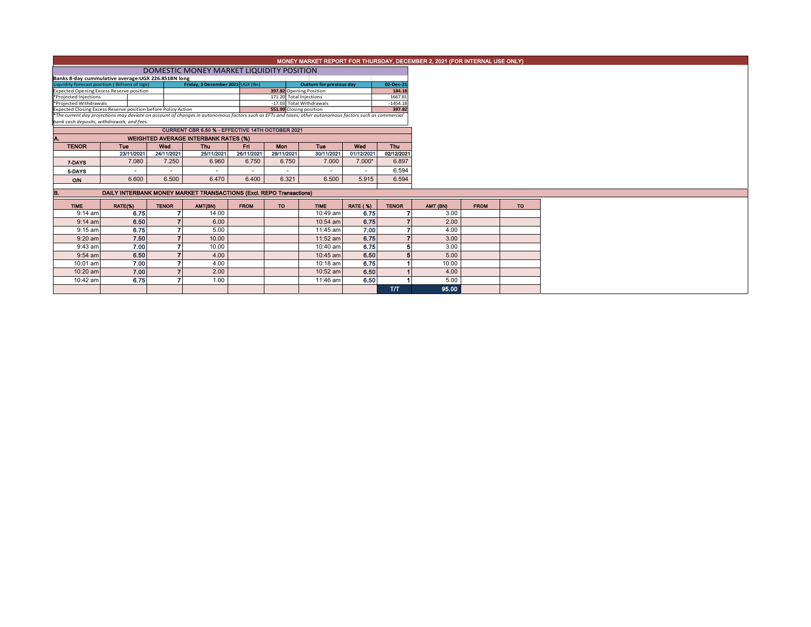|                                                                                                                                                                                                                                                      |                                             |              |                                                                     |             |                          |                                 |                      |                |  |          | MONEY MARKET REPORT FOR THURSDAY, DECEMBER 2, 2021 (FOR INTERNAL USE ONLY) |
|------------------------------------------------------------------------------------------------------------------------------------------------------------------------------------------------------------------------------------------------------|---------------------------------------------|--------------|---------------------------------------------------------------------|-------------|--------------------------|---------------------------------|----------------------|----------------|--|----------|----------------------------------------------------------------------------|
|                                                                                                                                                                                                                                                      |                                             |              | DOMESTIC MONEY MARKET LIQUIDITY POSITION                            |             |                          |                                 |                      |                |  |          |                                                                            |
| Banks 8-day cummulative average: UGX 226.851BN long                                                                                                                                                                                                  |                                             |              |                                                                     |             |                          |                                 |                      |                |  |          |                                                                            |
| Liquidity forecast position (Billions of Ugx)                                                                                                                                                                                                        |                                             |              | Friday, 3 December 2021 UGX (Bn)                                    |             |                          | <b>Outturn for previous day</b> |                      | 02-Dec-21      |  |          |                                                                            |
| <b>Expected Opening Excess Reserve position</b>                                                                                                                                                                                                      |                                             |              |                                                                     |             |                          | 397.82 Opening Position         |                      | 184.18         |  |          |                                                                            |
| *Projected Injections                                                                                                                                                                                                                                |                                             |              |                                                                     |             |                          | 171.20 Total Injections         |                      | 1667.81        |  |          |                                                                            |
| *Projected Withdrawals                                                                                                                                                                                                                               |                                             |              |                                                                     |             | -17.03 Total Withdrawals |                                 | $-1454.18$<br>397.82 |                |  |          |                                                                            |
| Expected Closing Excess Reserve position before Policy Action<br>551.99 Closing position<br>*The current day projections may deviate on account of changes in autonomous factors such as EFTs and taxes; other autonomous factors such as commercial |                                             |              |                                                                     |             |                          |                                 |                      |                |  |          |                                                                            |
| bank cash deposits, withdrawals, and fees.                                                                                                                                                                                                           |                                             |              |                                                                     |             |                          |                                 |                      |                |  |          |                                                                            |
|                                                                                                                                                                                                                                                      |                                             |              | CURRENT CBR 6.50 % - EFFECTIVE 14TH OCTOBER 2021                    |             |                          |                                 |                      |                |  |          |                                                                            |
|                                                                                                                                                                                                                                                      |                                             |              |                                                                     |             |                          |                                 |                      |                |  |          |                                                                            |
|                                                                                                                                                                                                                                                      | <b>WEIGHTED AVERAGE INTERBANK RATES (%)</b> |              |                                                                     |             |                          |                                 |                      |                |  |          |                                                                            |
| <b>TENOR</b>                                                                                                                                                                                                                                         | Tue                                         | Wed          | <b>Thu</b>                                                          | Fri         | <b>Mon</b>               | Tue                             | Wed                  | Thu            |  |          |                                                                            |
|                                                                                                                                                                                                                                                      | 23/11/2021                                  | 24/11/2021   | 25/11/2021                                                          | 26/11/2021  | 29/11/2021               | 30/11/2021                      | 01/12/2021           | 02/12/2021     |  |          |                                                                            |
| 7-DAYS                                                                                                                                                                                                                                               | 7.080                                       | 7.250        | 6.960                                                               | 6.750       | 6.750                    | 7.000                           | $7.000*$             | 6.897          |  |          |                                                                            |
| 5-DAYS                                                                                                                                                                                                                                               |                                             |              |                                                                     |             | $\sim$                   | $\sim$                          | $\sim$               | 6.594          |  |          |                                                                            |
| O/N                                                                                                                                                                                                                                                  | 6.600                                       | 6.500        | 6.470                                                               | 6.400       | 6.321                    | 6.500                           | 5.915                | 6.594          |  |          |                                                                            |
|                                                                                                                                                                                                                                                      |                                             |              |                                                                     |             |                          |                                 |                      |                |  |          |                                                                            |
|                                                                                                                                                                                                                                                      |                                             |              | DAILY INTERBANK MONEY MARKET TRANSACTIONS (Excl. REPO Transactions) |             |                          |                                 |                      |                |  |          |                                                                            |
| <b>TIME</b>                                                                                                                                                                                                                                          | RATE(%)                                     | <b>TENOR</b> | AMT(BN)                                                             | <b>FROM</b> | TO                       | <b>TIME</b>                     | <b>RATE (%)</b>      | <b>TENOR</b>   |  | AMT (BN) | <b>FROM</b>                                                                |
| $9:14$ am                                                                                                                                                                                                                                            | 6.75                                        |              | 14.00                                                               |             |                          | 10:49 am                        | 6.75                 |                |  | 3.00     |                                                                            |
| $9:14$ am                                                                                                                                                                                                                                            | 6.50                                        |              | 6.00                                                                |             |                          | 10:54 am                        | 6.75                 | $\mathbf{z}$   |  | 2.00     |                                                                            |
| $9:15$ am                                                                                                                                                                                                                                            | 6.75                                        |              | 5.00                                                                |             |                          | 11:45 am                        | 7.00                 |                |  | 4.00     |                                                                            |
| $9:20$ am                                                                                                                                                                                                                                            | 7.50                                        |              | 10.00                                                               |             |                          | 11:52 am                        | 6.75                 | $\overline{7}$ |  | 3.00     |                                                                            |
| $9:43$ am                                                                                                                                                                                                                                            | 7.00                                        |              | 10.00                                                               |             |                          | 10:40 am                        | 6.75                 | 5              |  | 3.00     |                                                                            |
| $9:54$ am                                                                                                                                                                                                                                            | 6.50                                        |              | 4.00                                                                |             |                          | 10:45 am                        | 6.50                 |                |  | 5.00     |                                                                            |
| 10:01 am                                                                                                                                                                                                                                             | 7.00                                        |              | 4.00                                                                |             |                          | $10:18$ am                      | 6.75                 |                |  | 10.00    |                                                                            |
| 10:20 am                                                                                                                                                                                                                                             | 7.00                                        |              | 2.00                                                                |             |                          | 10:52 am                        | 6.50                 |                |  | 4.00     |                                                                            |
| 10:42 am                                                                                                                                                                                                                                             | 6.75                                        |              | 1.00                                                                |             |                          | 11:46 am                        | 6.50                 |                |  | 5.00     |                                                                            |
|                                                                                                                                                                                                                                                      |                                             |              |                                                                     |             |                          |                                 |                      |                |  |          |                                                                            |
|                                                                                                                                                                                                                                                      |                                             |              |                                                                     |             |                          |                                 |                      | <b>T/T</b>     |  | 95.00    |                                                                            |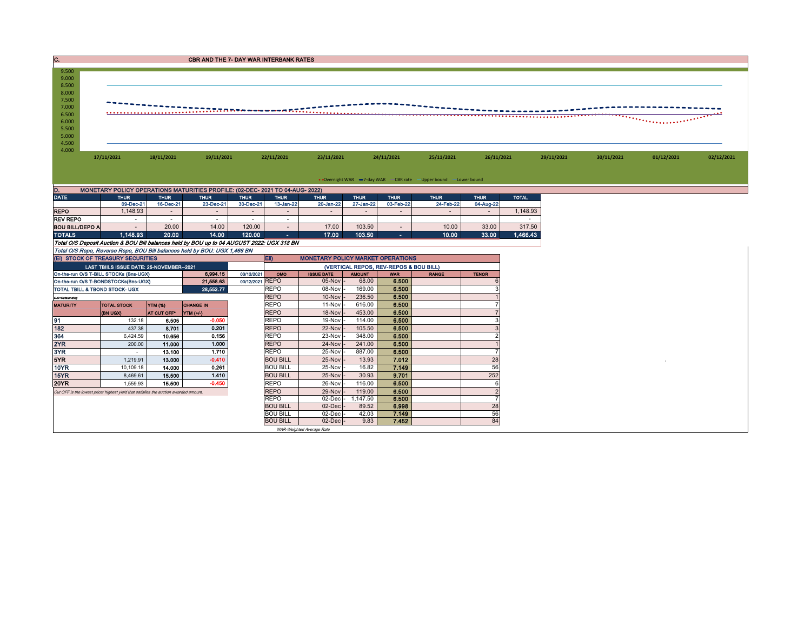| $\overline{\mathbf{C}}$ .<br><b>CBR AND THE 7- DAY WAR INTERBANK RATES</b>                                             |                                                                                       |                          |                                                                                            |                          |                                    |                                          |                                        |                          |                                                                   |                          |              |            |            |            |            |
|------------------------------------------------------------------------------------------------------------------------|---------------------------------------------------------------------------------------|--------------------------|--------------------------------------------------------------------------------------------|--------------------------|------------------------------------|------------------------------------------|----------------------------------------|--------------------------|-------------------------------------------------------------------|--------------------------|--------------|------------|------------|------------|------------|
| 9.500<br>9.000<br>8.500<br>8.000<br>7.500<br>7.000<br>6.500<br>. <i>.</i><br>6.000<br>5.500<br>5.000<br>4.500<br>4.000 |                                                                                       |                          |                                                                                            |                          |                                    |                                          |                                        |                          |                                                                   |                          |              |            |            |            |            |
|                                                                                                                        | 17/11/2021                                                                            | 18/11/2021               | 19/11/2021                                                                                 |                          | 22/11/2021                         | 23/11/2021                               |                                        | 24/11/2021               | 25/11/2021                                                        | 26/11/2021               |              | 29/11/2021 | 30/11/2021 | 01/12/2021 | 02/12/2021 |
|                                                                                                                        |                                                                                       |                          |                                                                                            |                          |                                    |                                          |                                        |                          |                                                                   |                          |              |            |            |            |            |
|                                                                                                                        |                                                                                       |                          |                                                                                            |                          |                                    |                                          |                                        |                          | • Overnight WAR -7-day WAR - CBR rate - Upper bound - Lower bound |                          |              |            |            |            |            |
| D.<br><b>DATE</b>                                                                                                      |                                                                                       |                          | MONETARY POLICY OPERATIONS MATURITIES PROFILE: (02-DEC- 2021 TO 04-AUG- 2022)              |                          |                                    |                                          |                                        |                          |                                                                   |                          |              |            |            |            |            |
|                                                                                                                        | <b>THUR</b><br>09-Dec-21                                                              | <b>THUR</b><br>16-Dec-21 | <b>THUR</b><br>23-Dec-21                                                                   | <b>THUR</b><br>30-Dec-21 | <b>THUR</b><br>13-Jan-22           | <b>THUR</b><br>20-Jan-22                 | <b>THUR</b><br>27-Jan-22               | <b>THUR</b><br>03-Feb-22 | <b>THUR</b><br>24-Feb-22                                          | <b>THUR</b><br>04-Aug-22 | <b>TOTAL</b> |            |            |            |            |
| <b>REPO</b>                                                                                                            | 1,148.93                                                                              | $\sim$                   |                                                                                            | $\overline{\phantom{a}}$ | $\sim$                             | $\sim$                                   |                                        |                          |                                                                   |                          | 1,148.93     |            |            |            |            |
| <b>REV REPO</b>                                                                                                        | $\sim$                                                                                | $\sim$                   | $\sim$                                                                                     | $\overline{\phantom{a}}$ | $\sim$                             |                                          |                                        |                          |                                                                   |                          | $\sim$       |            |            |            |            |
| <b>BOU BILL/DEPO A</b>                                                                                                 | $\sim$                                                                                | 20.00                    | 14.00                                                                                      | 120.00                   | . п.                               | 17.00                                    | 103.50                                 | $\sim$                   | 10.00                                                             | 33.00                    | 317.50       |            |            |            |            |
| <b>TOTALS</b>                                                                                                          | 1,148.93                                                                              | 20.00                    | 14.00                                                                                      | 120.00                   | m.                                 | 17.00                                    | 103.50                                 | a.                       | 10.00                                                             | 33.00                    | 1,466.43     |            |            |            |            |
|                                                                                                                        |                                                                                       |                          | Total O/S Deposit Auction & BOU Bill balances held by BOU up to 04 AUGUST 2022: UGX 318 BN |                          |                                    |                                          |                                        |                          |                                                                   |                          |              |            |            |            |            |
|                                                                                                                        |                                                                                       |                          | Total O/S Repo, Reverse Repo, BOU Bill balances held by BOU: UGX 1,466 BN                  |                          | Eii)                               |                                          |                                        |                          |                                                                   |                          |              |            |            |            |            |
|                                                                                                                        | (EI) STOCK OF TREASURY SECURITIES<br>LAST TBIILS ISSUE DATE: 25-NOVEMBER--2021        |                          |                                                                                            |                          |                                    | <b>MONETARY POLICY MARKET OPERATIONS</b> | (VERTICAL REPOS, REV-REPOS & BOU BILL) |                          |                                                                   |                          |              |            |            |            |            |
|                                                                                                                        | On-the-run O/S T-BILL STOCKs (Bns-UGX)                                                |                          | 6,994.15                                                                                   | 03/12/2021               | OMO                                | <b>ISSUE DATE</b>                        | <b>AMOUNT</b>                          | <b>WAR</b>               | <b>RANGE</b>                                                      | <b>TENOR</b>             |              |            |            |            |            |
|                                                                                                                        | On-the-run O/S T-BONDSTOCKs(Bns-UGX)                                                  |                          | 21,558.63                                                                                  | 03/12/2021 REPO          |                                    | 05-Nov                                   | 68.00                                  | 6.500                    |                                                                   |                          |              |            |            |            |            |
| TOTAL TBILL & TBOND STOCK- UGX                                                                                         |                                                                                       |                          | 28.552.77                                                                                  |                          | <b>REPO</b>                        | 08-Nov                                   | 169.00                                 | 6.500                    |                                                                   |                          |              |            |            |            |            |
| O/S=Outstanding                                                                                                        |                                                                                       |                          |                                                                                            |                          | <b>REPO</b>                        | 10-Nov                                   | 236.50                                 | 6.500                    |                                                                   |                          |              |            |            |            |            |
| <b>MATURITY</b>                                                                                                        | <b>TOTAL STOCK</b>                                                                    | YTM (%)                  | <b>CHANGE IN</b>                                                                           |                          | <b>REPO</b>                        |                                          |                                        |                          |                                                                   |                          |              |            |            |            |            |
|                                                                                                                        | (BN UGX)                                                                              |                          |                                                                                            |                          |                                    | 11-Nov                                   | 616.00                                 | 6.500                    |                                                                   |                          |              |            |            |            |            |
| 91                                                                                                                     |                                                                                       | AT CUT OFF"              | YTM (+/-)                                                                                  |                          | <b>REPO</b>                        | 18-Nov                                   | 453.00                                 | 6.500                    |                                                                   |                          |              |            |            |            |            |
|                                                                                                                        | 132.18                                                                                | 6.505                    | $-0.050$                                                                                   |                          | <b>REPO</b>                        | 19-Nov                                   | 114.00                                 | 6.500                    |                                                                   | 3                        |              |            |            |            |            |
|                                                                                                                        | 437.38                                                                                | 8.701                    | 0.201                                                                                      |                          | <b>REPO</b>                        | 22-Nov                                   | 105.50                                 | 6.500                    |                                                                   |                          |              |            |            |            |            |
| 364                                                                                                                    | 6.424.59                                                                              | 10.656                   | 0.156                                                                                      |                          | <b>REPO</b>                        | 23-Nov                                   | 348.00                                 | 6.500                    |                                                                   | $\mathcal{P}$            |              |            |            |            |            |
| 2YR                                                                                                                    | 200.00<br>$\sim$                                                                      | 11.000                   | 1.000                                                                                      |                          | <b>REPO</b><br><b>REPO</b>         | 24-Nov                                   | 241.00                                 | 6.500                    |                                                                   |                          |              |            |            |            |            |
| 5YR                                                                                                                    | 1.219.91                                                                              | 13.100<br>13.000         | 1.710<br>$-0.410$                                                                          |                          | <b>BOU BILL</b>                    | 25-Nov<br>25-Nov                         | 887.00<br>13.93                        | 6.500<br>7.012           |                                                                   | 28                       |              |            |            |            |            |
| 10YR                                                                                                                   | 10,109.18                                                                             | 14.000                   | 0.261                                                                                      |                          | <b>BOU BILL</b>                    | 25-Nov                                   | 16.82                                  | 7.149                    |                                                                   | 56                       |              |            |            |            |            |
| 15YR                                                                                                                   | 8,469.61                                                                              | 15.500                   | 1.410                                                                                      |                          | <b>BOU BILL</b>                    | 25-Nov                                   | 30.93                                  | 9.701                    |                                                                   | 252                      |              |            |            |            |            |
| 182<br>3YR<br>20YR                                                                                                     | 1.559.93                                                                              | 15,500                   | $-0.450$                                                                                   |                          | <b>REPO</b>                        | 26-Nov                                   | 116.00                                 | 6.500                    |                                                                   | 6                        |              |            |            |            |            |
|                                                                                                                        | Cut OFF is the lowest price/ highest yield that satisfies the auction awarded amount. |                          |                                                                                            |                          | <b>REPO</b>                        | 29-Nov                                   | 119.00                                 | 6.500                    |                                                                   | $\overline{2}$           |              |            |            |            |            |
|                                                                                                                        |                                                                                       |                          |                                                                                            |                          | <b>REPO</b>                        | 02-Dec                                   | 1,147.50                               | 6.500                    |                                                                   |                          |              |            |            |            |            |
|                                                                                                                        |                                                                                       |                          |                                                                                            |                          | <b>BOU BILL</b><br><b>BOU BILL</b> | 02-Dec<br>02-Dec                         | 89.52<br>42.03                         | 6.998<br>7.149           |                                                                   | 28<br>56                 |              |            |            |            |            |

BOU BILL 02-Dec - 89.52<br>
BOU BILL 02-Dec - 42.03<br>
BOU BILL 02-Dec - 9.83 WAR-Weighted Average Rate